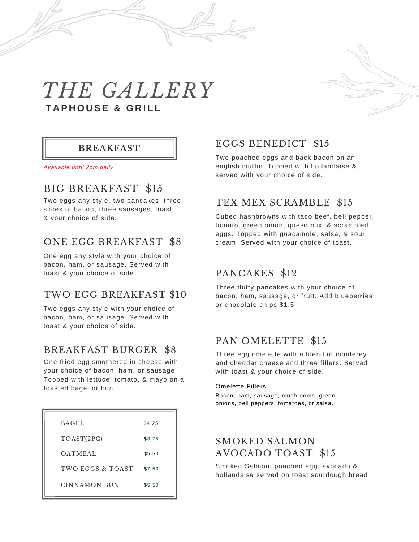



*Available until 2pm daily*

# BIG BREAKFAST \$15

Two eggs any style, two pancakes, three slices of bacon, three sausages, toast, & your choice of side.

#### ONE EGG BREAKFAST \$8

One egg any style with your choice of bacon, ham, or sausage. Served with toast & your choice of side.

#### TWO EGG BREAKFAST \$10

Two eggs any style with your choice of bacon, ham, or sausage. Served with toast & your choice of side.

#### BREAKFAST BURGER \$8

One fried egg smothered in cheese with your choice of bacon, ham, or sausage. Topped with lettuce, tomato, & mayo on a toasted bagel or bun..

| <b>BAGEL</b>     | \$4.25 |
|------------------|--------|
| TOAST(2PC)       | \$3.75 |
| <b>OATMEAL</b>   | \$5.50 |
| TWO EGGS & TOAST | \$7.50 |
| CINNAMON BUN     | \$5.50 |

#### EGGS BENEDICT \$15

Two poached eggs and back bacon on an english muffin. Topped with hollandaise & served with your choice of side.

# TEX MEX SCRAMBLE \$15

Cubed hashbrowns with taco beef, bell pepper, tomato, green onion, queso mix, & scrambled eggs. Topped with guacamole, salsa, & sour cream. Served with your choice of toast.

#### PANCAKES \$12

Three fluffy pancakes with your choice of bacon, ham, sausage, or fruit. Add blueberries or chocolate chips \$1.5

#### PAN OMELETTE \$15

Three egg omelette with a blend of monterey and cheddar cheese and three fillers. Served with toast & your choice of side.

#### Omelette Fillers

Bacon, ham, sausage, mushrooms, green onions, bell peppers, tomatoes, or salsa.

#### SMOKED SALMON AVOCADO TOAST \$15

Smoked Salmon, poached egg, avocado & hollandaise served on toast sourdough bread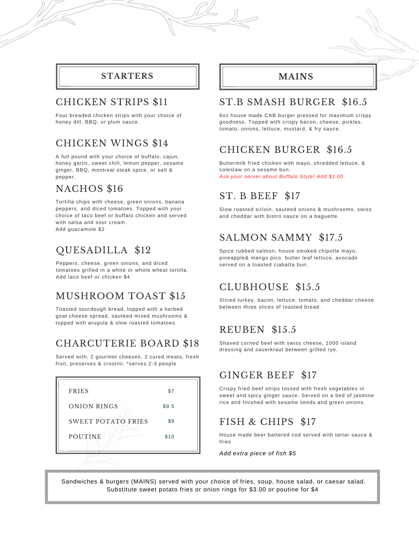#### **STARTERS**

#### CHICKEN STRIPS \$11

Four breaded chicken strips with your choice of honey dill, BBQ, or plum sauce.

# CHICKEN WINGS \$14

A full pound with your choice of buffalo, cajun, honey garlic, sweet chili, lemon pepper, sesame ginger, BBQ, montreal steak spice, or salt & pepper.

# NACHOS \$16

Tortilla chips with cheese, green onions, banana peppers, and diced tomatoes. Topped with your choice of taco beef or buffalo chicken and served with salsa and sour cream. Add guacamole \$2

# QUESADILLA \$12

Peppers, cheese, green onions, and diced tomatoes grilled in a white or whole wheat tortilla. Add taco beef or chicken \$4

# MUSHROOM TOAST \$15

Toasted sourdough bread, topped with a herbed goat cheese spread, sautéed mixed mushrooms & topped with arugula & slow roasted tomatoes.

# CHARCUTERIE BOARD \$18

Served with; 2 gourmet cheeses, 2 cured meats, fresh fruit, preserves & crostini. \*serves 2-3 people



# **MAINS**

# ST.B SMASH BURGER \$16.5

6oz house made CAB burger pressed for maximum crispy goodness. Topped with crispy bacon, cheese, pickles, tomato, onions, lettuce, mustard, & fry sauce.

# CHICKEN BURGER \$16.5

Buttermilk fried chicken with mayo, shredded lettuce, & coleslaw on a sesame bun. *Ask your server about Buffalo Style! Add \$1.00*

# ST. B BEEF \$17

Slow roasted sirloin, sauteed onions & mushrooms, swiss and cheddar with bistro sauce on a baguette.

# SALMON SAMMY \$17.5

Spice rubbed salmon, house smoked chipotle mayo, pineapple& mango pico, butter leaf lettuce, avocado served on a toasted ciabatta bun.

# CLUBHOUSE \$15.5

Sliced turkey, bacon, lettuce, tomato, and cheddar cheese between three slices of toasted bread.

# REUBEN \$15.5

Shaved corned beef with swiss cheese, 1000 island dressing and sauerkraut between grilled rye.

#### GINGER BEEF \$17

Crispy fried beef strips tossed with fresh vegetables in sweet and spicy ginger sauce. Served on a bed of jasmine rice and finished with sesame seeds and green onions.

# FISH & CHIPS \$17

House made beer battered cod served with tartar sauce & fries

*Add extra piece of fish \$5*

Sandwiches & burgers (MAINS) served with your choice of fries, soup, house salad, or caesar salad. Substitute sweet potato fries or onion rings for \$3.00 or poutine for \$4